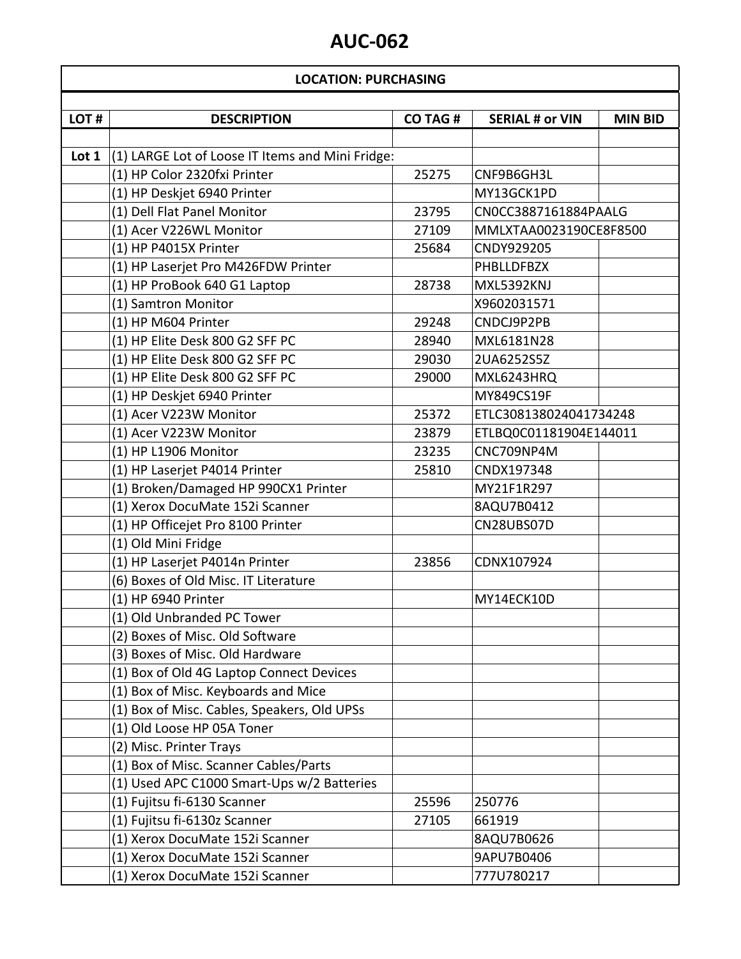### **LOCATION: PURCHASING**

 $\overline{\phantom{a}}$ 

| LOT# | <b>DESCRIPTION</b>                                            | <b>CO TAG #</b> | <b>SERIAL # or VIN</b> | <b>MIN BID</b> |
|------|---------------------------------------------------------------|-----------------|------------------------|----------------|
|      |                                                               |                 |                        |                |
|      | Lot $1 \mid (1)$ LARGE Lot of Loose IT Items and Mini Fridge: |                 |                        |                |
|      | (1) HP Color 2320fxi Printer                                  | 25275           | CNF9B6GH3L             |                |
|      | (1) HP Deskjet 6940 Printer                                   |                 | MY13GCK1PD             |                |
|      | (1) Dell Flat Panel Monitor                                   | 23795           | CN0CC3887161884PAALG   |                |
|      | (1) Acer V226WL Monitor                                       | 27109           | MMLXTAA0023190CE8F8500 |                |
|      | (1) HP P4015X Printer                                         | 25684           | CNDY929205             |                |
|      | (1) HP Laserjet Pro M426FDW Printer                           |                 | <b>PHBLLDFBZX</b>      |                |
|      | (1) HP ProBook 640 G1 Laptop                                  | 28738           | MXL5392KNJ             |                |
|      | (1) Samtron Monitor                                           |                 | X9602031571            |                |
|      | (1) HP M604 Printer                                           | 29248           | CNDCJ9P2PB             |                |
|      | (1) HP Elite Desk 800 G2 SFF PC                               | 28940           | MXL6181N28             |                |
|      | (1) HP Elite Desk 800 G2 SFF PC                               | 29030           | 2UA6252S5Z             |                |
|      | (1) HP Elite Desk 800 G2 SFF PC                               | 29000           | MXL6243HRQ             |                |
|      | (1) HP Deskjet 6940 Printer                                   |                 | MY849CS19F             |                |
|      | (1) Acer V223W Monitor                                        | 25372           | ETLC308138024041734248 |                |
|      | (1) Acer V223W Monitor                                        | 23879           | ETLBQ0C01181904E144011 |                |
|      | (1) HP L1906 Monitor                                          | 23235           | CNC709NP4M             |                |
|      | (1) HP Laserjet P4014 Printer                                 | 25810           | CNDX197348             |                |
|      | (1) Broken/Damaged HP 990CX1 Printer                          |                 | MY21F1R297             |                |
|      | (1) Xerox DocuMate 152i Scanner                               |                 | 8AQU7B0412             |                |
|      | (1) HP Officejet Pro 8100 Printer                             |                 | CN28UBS07D             |                |
|      | (1) Old Mini Fridge                                           |                 |                        |                |
|      | (1) HP Laserjet P4014n Printer                                | 23856           | CDNX107924             |                |
|      | (6) Boxes of Old Misc. IT Literature                          |                 |                        |                |
|      | (1) HP 6940 Printer                                           |                 | MY14ECK10D             |                |
|      | (1) Old Unbranded PC Tower                                    |                 |                        |                |
|      | (2) Boxes of Misc. Old Software                               |                 |                        |                |
|      | (3) Boxes of Misc. Old Hardware                               |                 |                        |                |
|      | (1) Box of Old 4G Laptop Connect Devices                      |                 |                        |                |
|      | (1) Box of Misc. Keyboards and Mice                           |                 |                        |                |
|      | (1) Box of Misc. Cables, Speakers, Old UPSs                   |                 |                        |                |
|      | (1) Old Loose HP 05A Toner                                    |                 |                        |                |
|      | (2) Misc. Printer Trays                                       |                 |                        |                |
|      | (1) Box of Misc. Scanner Cables/Parts                         |                 |                        |                |
|      | (1) Used APC C1000 Smart-Ups w/2 Batteries                    |                 |                        |                |
|      | (1) Fujitsu fi-6130 Scanner                                   | 25596           | 250776                 |                |
|      | (1) Fujitsu fi-6130z Scanner                                  | 27105           | 661919                 |                |
|      | (1) Xerox DocuMate 152i Scanner                               |                 | 8AQU7B0626             |                |
|      | (1) Xerox DocuMate 152i Scanner                               |                 | 9APU7B0406             |                |
|      | (1) Xerox DocuMate 152i Scanner                               |                 | 777U780217             |                |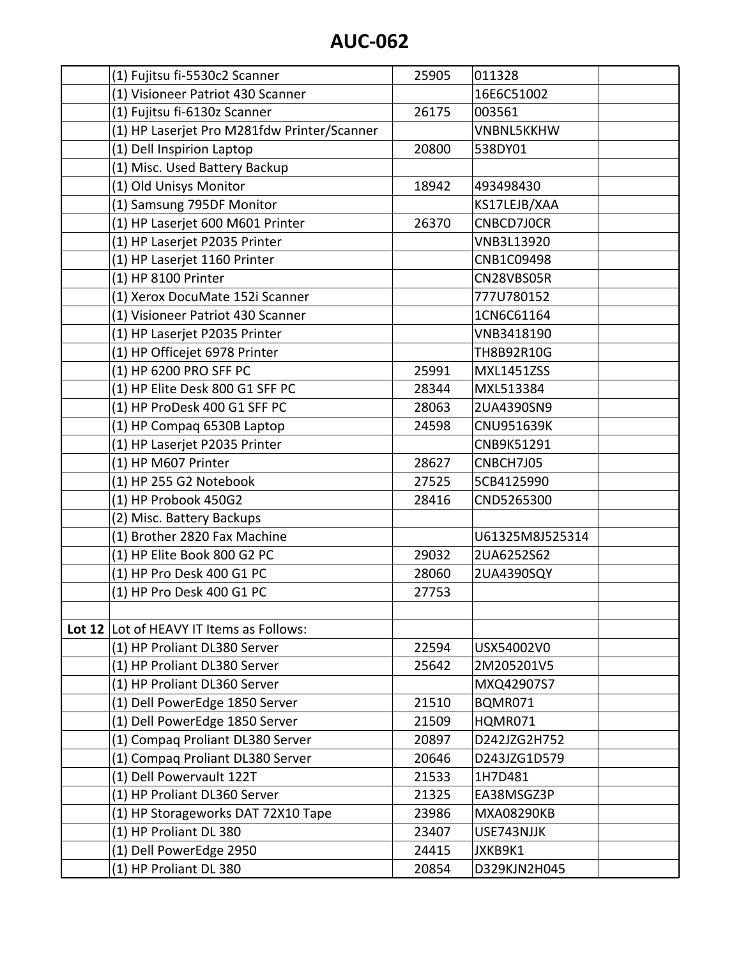| (1) Fujitsu fi-5530c2 Scanner               | 25905 | 011328            |  |
|---------------------------------------------|-------|-------------------|--|
| (1) Visioneer Patriot 430 Scanner           |       | 16E6C51002        |  |
| (1) Fujitsu fi-6130z Scanner                | 26175 | 003561            |  |
| (1) HP Laserjet Pro M281fdw Printer/Scanner |       | <b>VNBNL5KKHW</b> |  |
| (1) Dell Inspirion Laptop                   | 20800 | 538DY01           |  |
| (1) Misc. Used Battery Backup               |       |                   |  |
| (1) Old Unisys Monitor                      | 18942 | 493498430         |  |
| (1) Samsung 795DF Monitor                   |       | KS17LEJB/XAA      |  |
| (1) HP Laserjet 600 M601 Printer            | 26370 | CNBCD7J0CR        |  |
| (1) HP Laserjet P2035 Printer               |       | VNB3L13920        |  |
| (1) HP Laserjet 1160 Printer                |       | CNB1C09498        |  |
| (1) HP 8100 Printer                         |       | CN28VBS05R        |  |
| (1) Xerox DocuMate 152i Scanner             |       | 777U780152        |  |
| (1) Visioneer Patriot 430 Scanner           |       | 1CN6C61164        |  |
| (1) HP Laserjet P2035 Printer               |       | VNB3418190        |  |
| (1) HP Officejet 6978 Printer               |       | TH8B92R10G        |  |
| (1) HP 6200 PRO SFF PC                      | 25991 | <b>MXL1451ZSS</b> |  |
| (1) HP Elite Desk 800 G1 SFF PC             | 28344 | MXL513384         |  |
| (1) HP ProDesk 400 G1 SFF PC                | 28063 | 2UA4390SN9        |  |
| (1) HP Compaq 6530B Laptop                  | 24598 | <b>CNU951639K</b> |  |
| (1) HP Laserjet P2035 Printer               |       | CNB9K51291        |  |
| (1) HP M607 Printer                         | 28627 | CNBCH7J05         |  |
| (1) HP 255 G2 Notebook                      | 27525 | 5CB4125990        |  |
| (1) HP Probook 450G2                        | 28416 | CND5265300        |  |
| (2) Misc. Battery Backups                   |       |                   |  |
| (1) Brother 2820 Fax Machine                |       | U61325M8J525314   |  |
| (1) HP Elite Book 800 G2 PC                 | 29032 | 2UA6252S62        |  |
| (1) HP Pro Desk 400 G1 PC                   | 28060 | 2UA4390SQY        |  |
| (1) HP Pro Desk 400 G1 PC                   | 27753 |                   |  |
|                                             |       |                   |  |
| Lot 12 Lot of HEAVY IT Items as Follows:    |       |                   |  |
| (1) HP Proliant DL380 Server                | 22594 | USX54002V0        |  |
| (1) HP Proliant DL380 Server                | 25642 | 2M205201V5        |  |
| (1) HP Proliant DL360 Server                |       | MXQ42907S7        |  |
| (1) Dell PowerEdge 1850 Server              | 21510 | BQMR071           |  |
| (1) Dell PowerEdge 1850 Server              | 21509 | HQMR071           |  |
| (1) Compaq Proliant DL380 Server            | 20897 | D242JZG2H752      |  |
| (1) Compaq Proliant DL380 Server            | 20646 | D243JZG1D579      |  |
| (1) Dell Powervault 122T                    | 21533 | 1H7D481           |  |
| (1) HP Proliant DL360 Server                | 21325 | EA38MSGZ3P        |  |
| (1) HP Storageworks DAT 72X10 Tape          | 23986 | <b>MXA08290KB</b> |  |
| (1) HP Proliant DL 380                      | 23407 | USE743NJJK        |  |
| (1) Dell PowerEdge 2950                     | 24415 | JXKB9K1           |  |
| (1) HP Proliant DL 380                      | 20854 | D329KJN2H045      |  |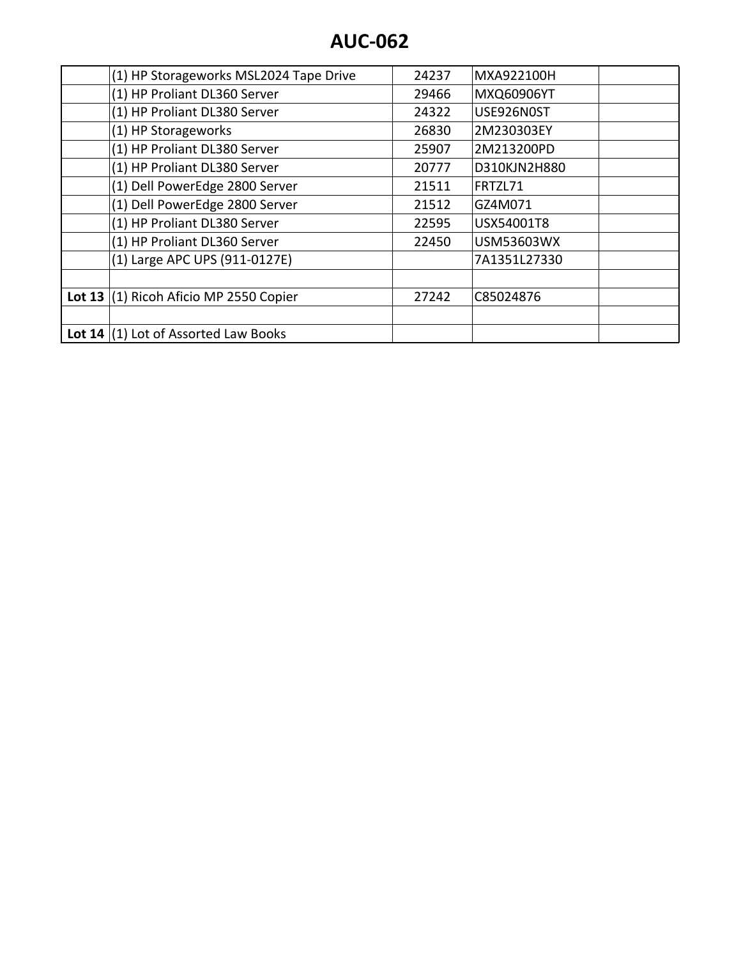|          | (1) HP Storageworks MSL2024 Tape Drive | 24237 | MXA922100H        |
|----------|----------------------------------------|-------|-------------------|
|          | (1) HP Proliant DL360 Server           | 29466 | MXQ60906YT        |
|          | (1) HP Proliant DL380 Server           | 24322 | USE926N0ST        |
|          | (1) HP Storageworks                    | 26830 | 2M230303EY        |
|          | (1) HP Proliant DL380 Server           | 25907 | 2M213200PD        |
|          | (1) HP Proliant DL380 Server           | 20777 | D310KJN2H880      |
|          | (1) Dell PowerEdge 2800 Server         | 21511 | FRTZL71           |
|          | (1) Dell PowerEdge 2800 Server         | 21512 | GZ4M071           |
|          | (1) HP Proliant DL380 Server           | 22595 | USX54001T8        |
|          | (1) HP Proliant DL360 Server           | 22450 | <b>USM53603WX</b> |
|          | (1) Large APC UPS (911-0127E)          |       | 7A1351L27330      |
|          |                                        |       |                   |
| Lot $13$ | (1) Ricoh Aficio MP 2550 Copier        | 27242 | C85024876         |
|          |                                        |       |                   |
|          | Lot 14 $(1)$ Lot of Assorted Law Books |       |                   |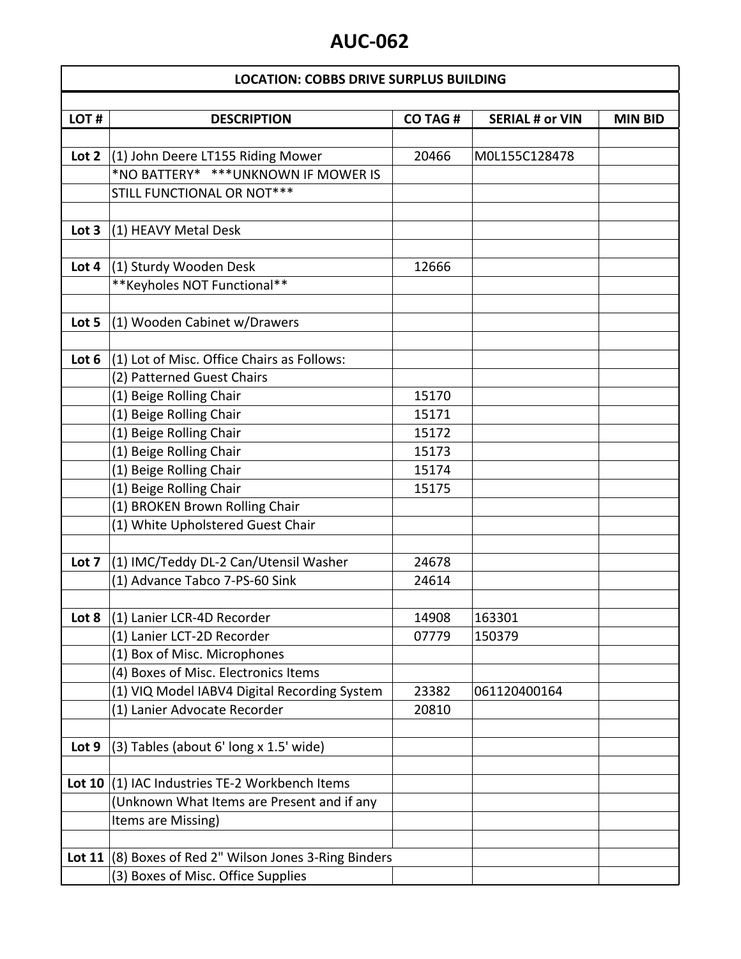### **LOCATION: COBBS DRIVE SURPLUS BUILDING**

| LOT#             | <b>DESCRIPTION</b>                                     | <b>CO TAG#</b> | <b>SERIAL # or VIN</b> | <b>MIN BID</b> |
|------------------|--------------------------------------------------------|----------------|------------------------|----------------|
|                  |                                                        |                |                        |                |
| Lot 2            | (1) John Deere LT155 Riding Mower                      | 20466          | M0L155C128478          |                |
|                  | *NO BATTERY* ***UNKNOWN IF MOWER IS                    |                |                        |                |
|                  | STILL FUNCTIONAL OR NOT***                             |                |                        |                |
|                  |                                                        |                |                        |                |
| Lot <sub>3</sub> | (1) HEAVY Metal Desk                                   |                |                        |                |
|                  |                                                        |                |                        |                |
| Lot 4            | (1) Sturdy Wooden Desk                                 | 12666          |                        |                |
|                  | **Keyholes NOT Functional**                            |                |                        |                |
|                  |                                                        |                |                        |                |
| Lot 5            | (1) Wooden Cabinet w/Drawers                           |                |                        |                |
|                  |                                                        |                |                        |                |
| Lot 6            | (1) Lot of Misc. Office Chairs as Follows:             |                |                        |                |
|                  | (2) Patterned Guest Chairs                             |                |                        |                |
|                  | (1) Beige Rolling Chair                                | 15170          |                        |                |
|                  | (1) Beige Rolling Chair                                | 15171          |                        |                |
|                  | (1) Beige Rolling Chair                                | 15172          |                        |                |
|                  | (1) Beige Rolling Chair                                | 15173          |                        |                |
|                  | (1) Beige Rolling Chair                                | 15174          |                        |                |
|                  | (1) Beige Rolling Chair                                | 15175          |                        |                |
|                  | (1) BROKEN Brown Rolling Chair                         |                |                        |                |
|                  | (1) White Upholstered Guest Chair                      |                |                        |                |
|                  |                                                        |                |                        |                |
| Lot 7            | (1) IMC/Teddy DL-2 Can/Utensil Washer                  | 24678          |                        |                |
|                  | (1) Advance Tabco 7-PS-60 Sink                         | 24614          |                        |                |
|                  |                                                        |                |                        |                |
| Lot 8            | (1) Lanier LCR-4D Recorder                             | 14908          | 163301                 |                |
|                  | (1) Lanier LCT-2D Recorder                             | 07779          | 150379                 |                |
|                  | (1) Box of Misc. Microphones                           |                |                        |                |
|                  | (4) Boxes of Misc. Electronics Items                   |                |                        |                |
|                  | (1) VIQ Model IABV4 Digital Recording System           | 23382          | 061120400164           |                |
|                  | (1) Lanier Advocate Recorder                           | 20810          |                        |                |
|                  |                                                        |                |                        |                |
| Lot 9            | (3) Tables (about 6' long x 1.5' wide)                 |                |                        |                |
|                  |                                                        |                |                        |                |
|                  | Lot 10 $(1)$ IAC Industries TE-2 Workbench Items       |                |                        |                |
|                  | (Unknown What Items are Present and if any             |                |                        |                |
|                  | Items are Missing)                                     |                |                        |                |
|                  |                                                        |                |                        |                |
|                  | Lot 11 (8) Boxes of Red 2" Wilson Jones 3-Ring Binders |                |                        |                |
|                  | (3) Boxes of Misc. Office Supplies                     |                |                        |                |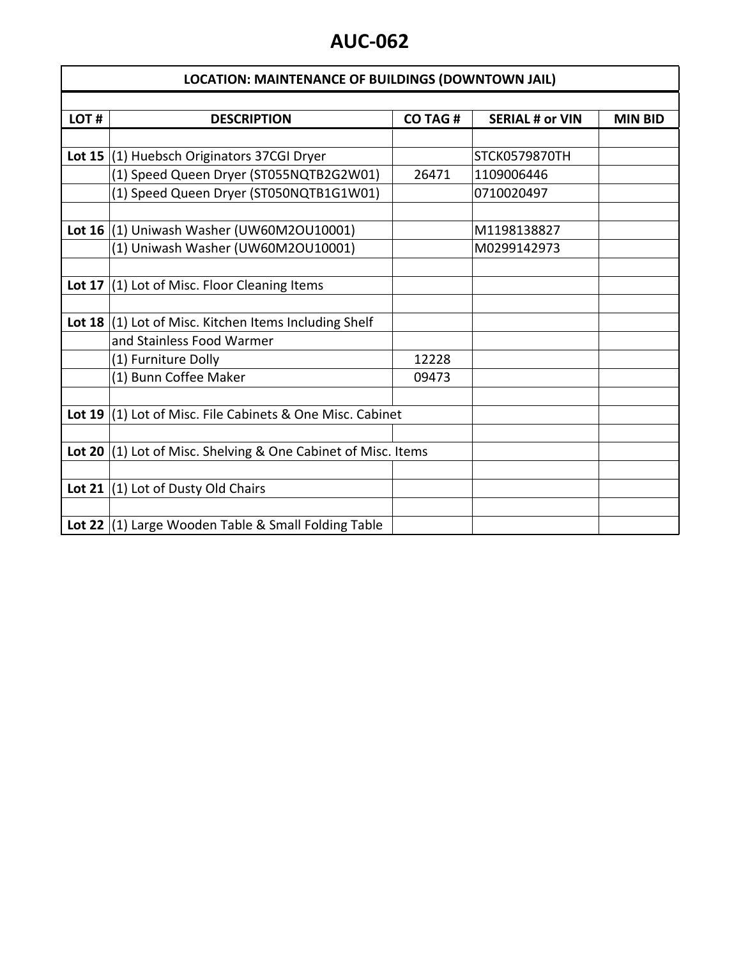| <b>LOCATION: MAINTENANCE OF BUILDINGS (DOWNTOWN JAIL)</b> |                                                               |                |                        |                |
|-----------------------------------------------------------|---------------------------------------------------------------|----------------|------------------------|----------------|
|                                                           |                                                               |                |                        |                |
| LOT#                                                      | <b>DESCRIPTION</b>                                            | <b>CO TAG#</b> | <b>SERIAL # or VIN</b> | <b>MIN BID</b> |
|                                                           |                                                               |                |                        |                |
|                                                           | Lot 15 $(1)$ Huebsch Originators 37CGI Dryer                  |                | STCK0579870TH          |                |
|                                                           | (1) Speed Queen Dryer (ST055NQTB2G2W01)                       | 26471          | 1109006446             |                |
|                                                           | (1) Speed Queen Dryer (ST050NQTB1G1W01)                       |                | 0710020497             |                |
|                                                           |                                                               |                |                        |                |
|                                                           | Lot 16 $(1)$ Uniwash Washer (UW60M2OU10001)                   |                | M1198138827            |                |
|                                                           | (1) Uniwash Washer (UW60M2OU10001)                            |                | M0299142973            |                |
|                                                           |                                                               |                |                        |                |
|                                                           | Lot 17 $(1)$ Lot of Misc. Floor Cleaning Items                |                |                        |                |
|                                                           |                                                               |                |                        |                |
|                                                           | Lot 18 $(1)$ Lot of Misc. Kitchen Items Including Shelf       |                |                        |                |
|                                                           | and Stainless Food Warmer                                     |                |                        |                |
|                                                           | (1) Furniture Dolly                                           | 12228          |                        |                |
|                                                           | (1) Bunn Coffee Maker                                         | 09473          |                        |                |
|                                                           |                                                               |                |                        |                |
|                                                           | Lot 19 $(1)$ Lot of Misc. File Cabinets & One Misc. Cabinet   |                |                        |                |
|                                                           |                                                               |                |                        |                |
|                                                           | Lot 20 (1) Lot of Misc. Shelving & One Cabinet of Misc. Items |                |                        |                |
|                                                           |                                                               |                |                        |                |
|                                                           | Lot 21 $(1)$ Lot of Dusty Old Chairs                          |                |                        |                |
|                                                           |                                                               |                |                        |                |
|                                                           | Lot 22 (1) Large Wooden Table & Small Folding Table           |                |                        |                |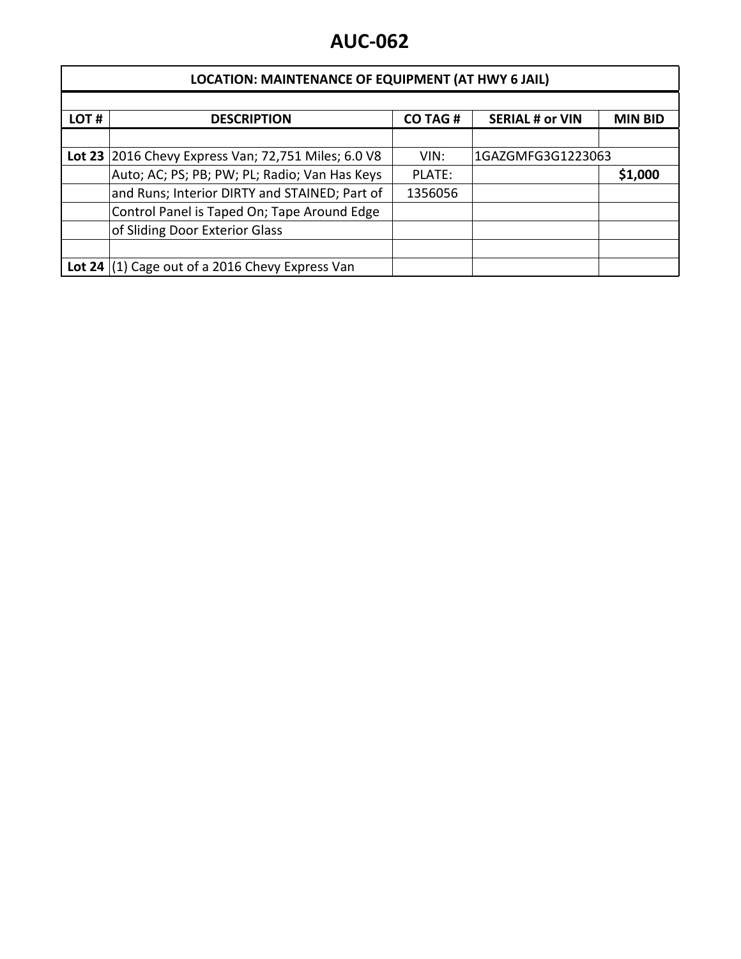| <b>LOCATION: MAINTENANCE OF EQUIPMENT (AT HWY 6 JAIL)</b> |                                                     |                |                        |                |
|-----------------------------------------------------------|-----------------------------------------------------|----------------|------------------------|----------------|
|                                                           |                                                     |                |                        |                |
| LOT#                                                      | <b>DESCRIPTION</b>                                  | <b>CO TAG#</b> | <b>SERIAL # or VIN</b> | <b>MIN BID</b> |
|                                                           |                                                     |                |                        |                |
|                                                           | Lot 23 2016 Chevy Express Van; 72,751 Miles; 6.0 V8 | VIN:           | 1GAZGMFG3G1223063      |                |
|                                                           | Auto; AC; PS; PB; PW; PL; Radio; Van Has Keys       | PLATE:         |                        | \$1,000        |
|                                                           | and Runs; Interior DIRTY and STAINED; Part of       | 1356056        |                        |                |
|                                                           | Control Panel is Taped On; Tape Around Edge         |                |                        |                |
|                                                           | of Sliding Door Exterior Glass                      |                |                        |                |
|                                                           |                                                     |                |                        |                |
|                                                           | Lot 24 $(1)$ Cage out of a 2016 Chevy Express Van   |                |                        |                |